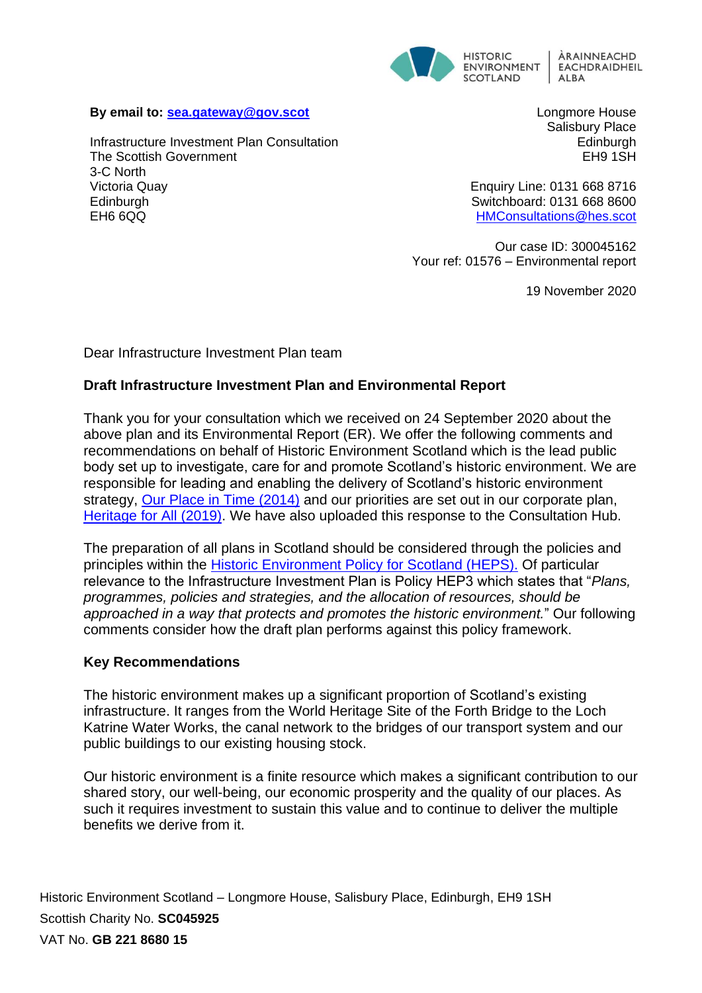

#### **By email to: [sea.gateway@gov.scot](mailto:sea.gateway@gov.scot)**

Infrastructure Investment Plan Consultation The Scottish Government 3-C North Victoria Quay **Edinburgh** EH6 6QQ

Longmore House Salisbury Place Edinburgh EH9 1SH

Enquiry Line: 0131 668 8716 Switchboard: 0131 668 8600 [HMConsultations@hes.scot](mailto:HMConsultations@hes.scot)

Our case ID: 300045162 Your ref: 01576 – Environmental report

19 November 2020

Dear Infrastructure Investment Plan team

# **Draft Infrastructure Investment Plan and Environmental Report**

Thank you for your consultation which we received on 24 September 2020 about the above plan and its Environmental Report (ER). We offer the following comments and recommendations on behalf of Historic Environment Scotland which is the lead public body set up to investigate, care for and promote Scotland's historic environment. We are responsible for leading and enabling the delivery of Scotland's historic environment strategy, [Our Place in Time](https://www.gov.scot/binaries/content/documents/govscot/publications/strategy-plan/2014/03/place-time-historic-environment-strategy-scotland/documents/00445046-pdf/00445046-pdf/govscot%3Adocument/00445046.pdf) (2014) and our priorities are set out in our corporate plan, [Heritage for All \(2019\).](https://www.historicenvironment.scot/archives-and-research/publications/publication/?publicationId=1f65f457-a602-4ddc-af61-aa2500933d61) We have also uploaded this response to the Consultation Hub.

The preparation of all plans in Scotland should be considered through the policies and principles within the [Historic Environment Policy for Scotland \(HEPS\).](https://www.historicenvironment.scot/advice-and-support/planning-and-guidance/historic-environment-policy-for-scotland-heps/) Of particular relevance to the Infrastructure Investment Plan is Policy HEP3 which states that "*Plans, programmes, policies and strategies, and the allocation of resources, should be approached in a way that protects and promotes the historic environment.*" Our following comments consider how the draft plan performs against this policy framework.

## **Key Recommendations**

The historic environment makes up a significant proportion of Scotland's existing infrastructure. It ranges from the World Heritage Site of the Forth Bridge to the Loch Katrine Water Works, the canal network to the bridges of our transport system and our public buildings to our existing housing stock.

Our historic environment is a finite resource which makes a significant contribution to our shared story, our well-being, our economic prosperity and the quality of our places. As such it requires investment to sustain this value and to continue to deliver the multiple benefits we derive from it.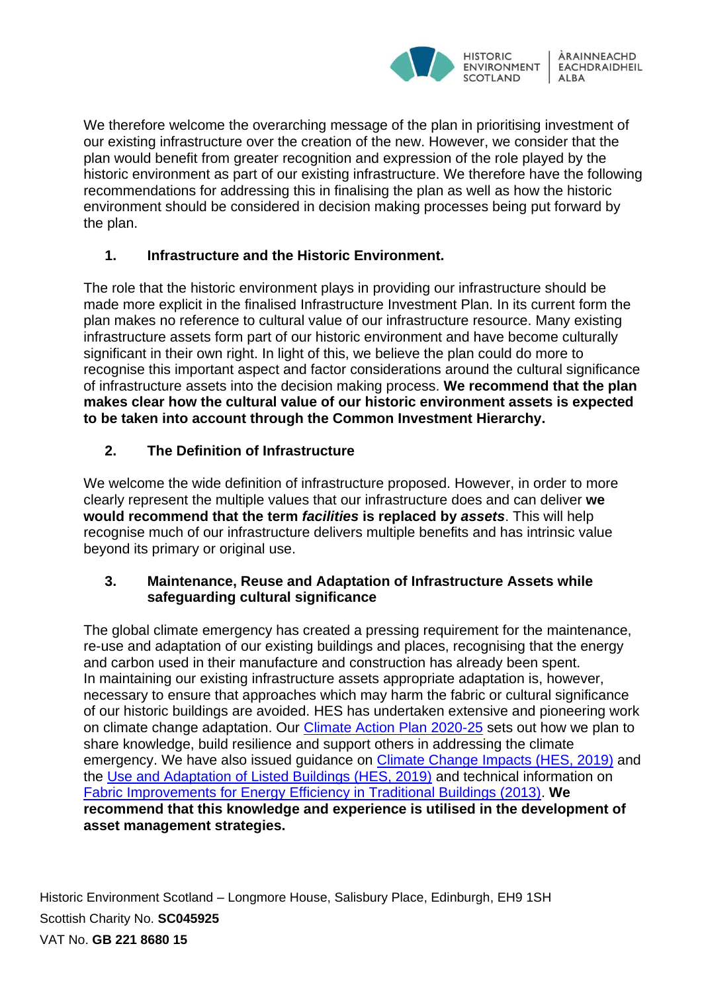

We therefore welcome the overarching message of the plan in prioritising investment of our existing infrastructure over the creation of the new. However, we consider that the plan would benefit from greater recognition and expression of the role played by the historic environment as part of our existing infrastructure. We therefore have the following recommendations for addressing this in finalising the plan as well as how the historic environment should be considered in decision making processes being put forward by the plan.

# **1. Infrastructure and the Historic Environment.**

The role that the historic environment plays in providing our infrastructure should be made more explicit in the finalised Infrastructure Investment Plan. In its current form the plan makes no reference to cultural value of our infrastructure resource. Many existing infrastructure assets form part of our historic environment and have become culturally significant in their own right. In light of this, we believe the plan could do more to recognise this important aspect and factor considerations around the cultural significance of infrastructure assets into the decision making process. **We recommend that the plan makes clear how the cultural value of our historic environment assets is expected to be taken into account through the Common Investment Hierarchy.**

# **2. The Definition of Infrastructure**

We welcome the wide definition of infrastructure proposed. However, in order to more clearly represent the multiple values that our infrastructure does and can deliver **we would recommend that the term** *facilities* **is replaced by** *assets*. This will help recognise much of our infrastructure delivers multiple benefits and has intrinsic value beyond its primary or original use.

# **3. Maintenance, Reuse and Adaptation of Infrastructure Assets while safeguarding cultural significance**

The global climate emergency has created a pressing requirement for the maintenance, re-use and adaptation of our existing buildings and places, recognising that the energy and carbon used in their manufacture and construction has already been spent. In maintaining our existing infrastructure assets appropriate adaptation is, however, necessary to ensure that approaches which may harm the fabric or cultural significance of our historic buildings are avoided. HES has undertaken extensive and pioneering work on climate change adaptation. Our [Climate Action Plan 2020-25](https://www.historicenvironment.scot/archives-and-research/publications/publication/?publicationId=94dd22c9-5d32-4e91-9a46-ab6600b6c1dd) sets out how we plan to share knowledge, build resilience and support others in addressing the climate emergency. We have also issued guidance on [Climate Change Impacts \(HES, 2019\)](https://www.historicenvironment.scot/archives-and-research/publications/publication/?publicationId=843d0c97-d3f4-4510-acd3-aadf0118bf82) and the [Use and Adaptation of Listed Buildings \(HES, 2019\)](https://www.historicenvironment.scot/archives-and-research/publications/publication/?publicationId=8ab1f9c9-521a-435e-a3f2-aa240119b5e1) and technical information on [Fabric Improvements for Energy Efficiency in Traditional Buildings \(2013\).](https://www.historicenvironment.scot/archives-and-research/publications/publication/?publicationId=179c1909-3679-4486-9583-a59100fa98c1) **We recommend that this knowledge and experience is utilised in the development of asset management strategies.**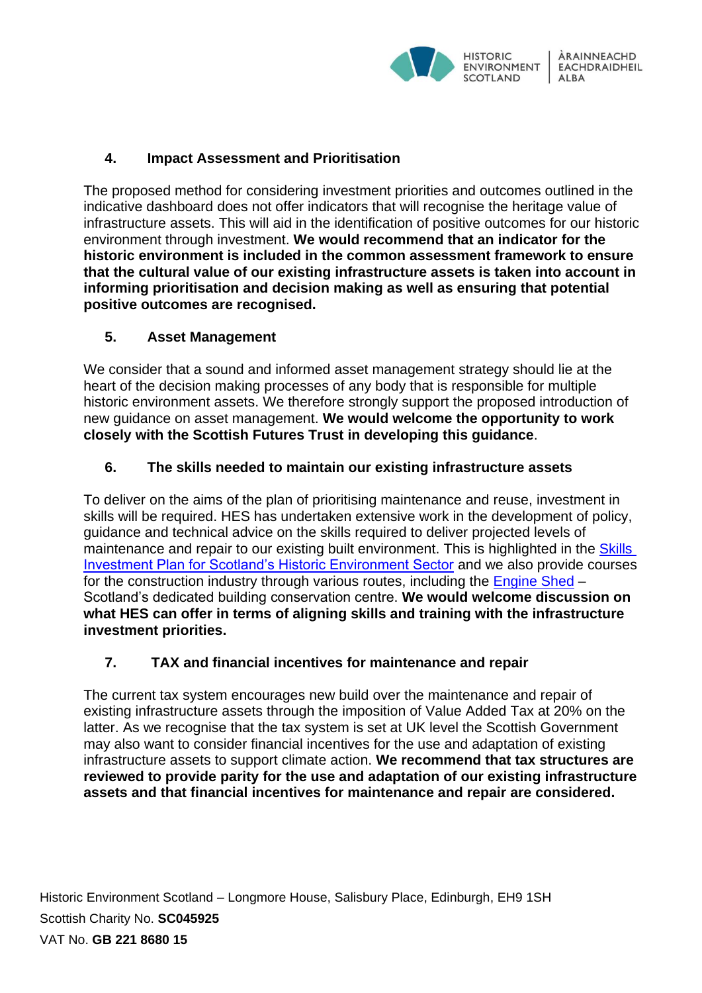

# **4. Impact Assessment and Prioritisation**

The proposed method for considering investment priorities and outcomes outlined in the indicative dashboard does not offer indicators that will recognise the heritage value of infrastructure assets. This will aid in the identification of positive outcomes for our historic environment through investment. **We would recommend that an indicator for the historic environment is included in the common assessment framework to ensure that the cultural value of our existing infrastructure assets is taken into account in informing prioritisation and decision making as well as ensuring that potential positive outcomes are recognised.** 

# **5. Asset Management**

We consider that a sound and informed asset management strategy should lie at the heart of the decision making processes of any body that is responsible for multiple historic environment assets. We therefore strongly support the proposed introduction of new guidance on asset management. **We would welcome the opportunity to work closely with the Scottish Futures Trust in developing this guidance**.

# **6. The skills needed to maintain our existing infrastructure assets**

To deliver on the aims of the plan of prioritising maintenance and reuse, investment in skills will be required. HES has undertaken extensive work in the development of policy, guidance and technical advice on the skills required to deliver projected levels of maintenance and repair to our existing built environment. This is highlighted in the Skills [Investment Plan for Scotland's Historic Environment Sector](https://www.historicenvironment.scot/archives-and-research/publications/publication/?publicationId=15425b9a-e46d-44fd-9b19-aa1b00c3e981) and we also provide courses for the construction industry through various routes, including the [Engine Shed](https://www.engineshed.scot/) – Scotland's dedicated building conservation centre. **We would welcome discussion on what HES can offer in terms of aligning skills and training with the infrastructure investment priorities.**

# **7. TAX and financial incentives for maintenance and repair**

The current tax system encourages new build over the maintenance and repair of existing infrastructure assets through the imposition of Value Added Tax at 20% on the latter. As we recognise that the tax system is set at UK level the Scottish Government may also want to consider financial incentives for the use and adaptation of existing infrastructure assets to support climate action. **We recommend that tax structures are reviewed to provide parity for the use and adaptation of our existing infrastructure assets and that financial incentives for maintenance and repair are considered.**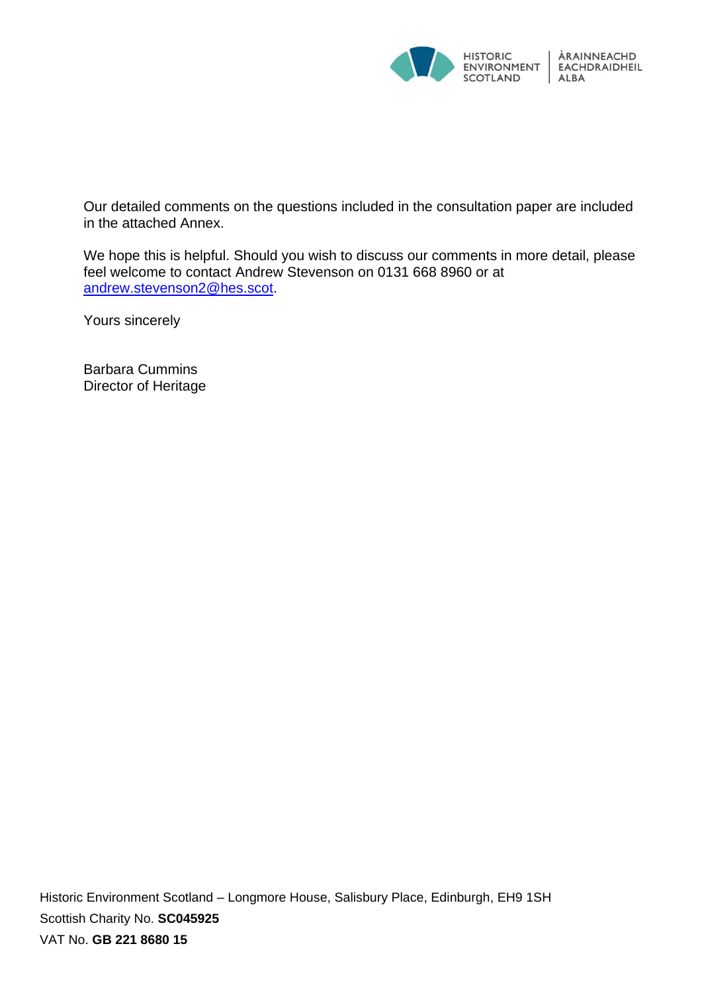

Our detailed comments on the questions included in the consultation paper are included in the attached Annex.

We hope this is helpful. Should you wish to discuss our comments in more detail, please feel welcome to contact Andrew Stevenson on 0131 668 8960 or at [andrew.stevenson2@hes.scot.](mailto:andrew.stevenson2@hes.scot)

Yours sincerely

Barbara Cummins Director of Heritage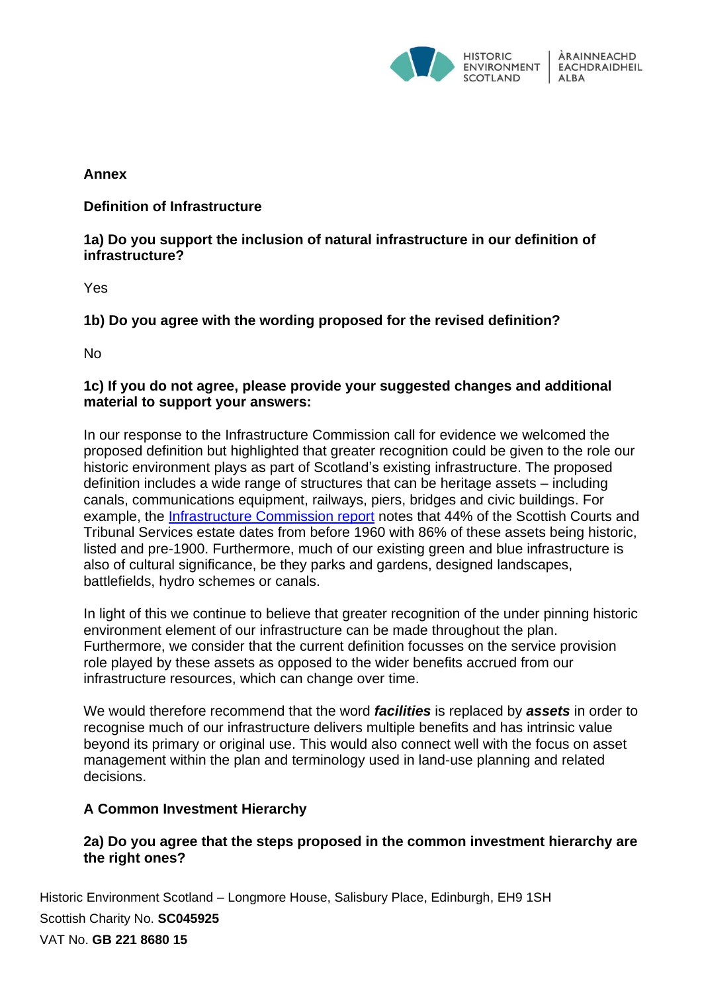

# **Annex**

**Definition of Infrastructure**

# **1a) Do you support the inclusion of natural infrastructure in our definition of infrastructure?**

Yes

**1b) Do you agree with the wording proposed for the revised definition?** 

No

# **1c) If you do not agree, please provide your suggested changes and additional material to support your answers:**

In our response to the Infrastructure Commission call for evidence we welcomed the proposed definition but highlighted that greater recognition could be given to the role our historic environment plays as part of Scotland's existing infrastructure. The proposed definition includes a wide range of structures that can be heritage assets – including canals, communications equipment, railways, piers, bridges and civic buildings. For example, the [Infrastructure Commission report](https://infrastructurecommission.scot/storage/247/FullReport_200120a.pdf) notes that 44% of the Scottish Courts and Tribunal Services estate dates from before 1960 with 86% of these assets being historic, listed and pre-1900. Furthermore, much of our existing green and blue infrastructure is also of cultural significance, be they parks and gardens, designed landscapes, battlefields, hydro schemes or canals.

In light of this we continue to believe that greater recognition of the under pinning historic environment element of our infrastructure can be made throughout the plan. Furthermore, we consider that the current definition focusses on the service provision role played by these assets as opposed to the wider benefits accrued from our infrastructure resources, which can change over time.

We would therefore recommend that the word *facilities* is replaced by *assets* in order to recognise much of our infrastructure delivers multiple benefits and has intrinsic value beyond its primary or original use. This would also connect well with the focus on asset management within the plan and terminology used in land-use planning and related decisions.

# **A Common Investment Hierarchy**

# **2a) Do you agree that the steps proposed in the common investment hierarchy are the right ones?**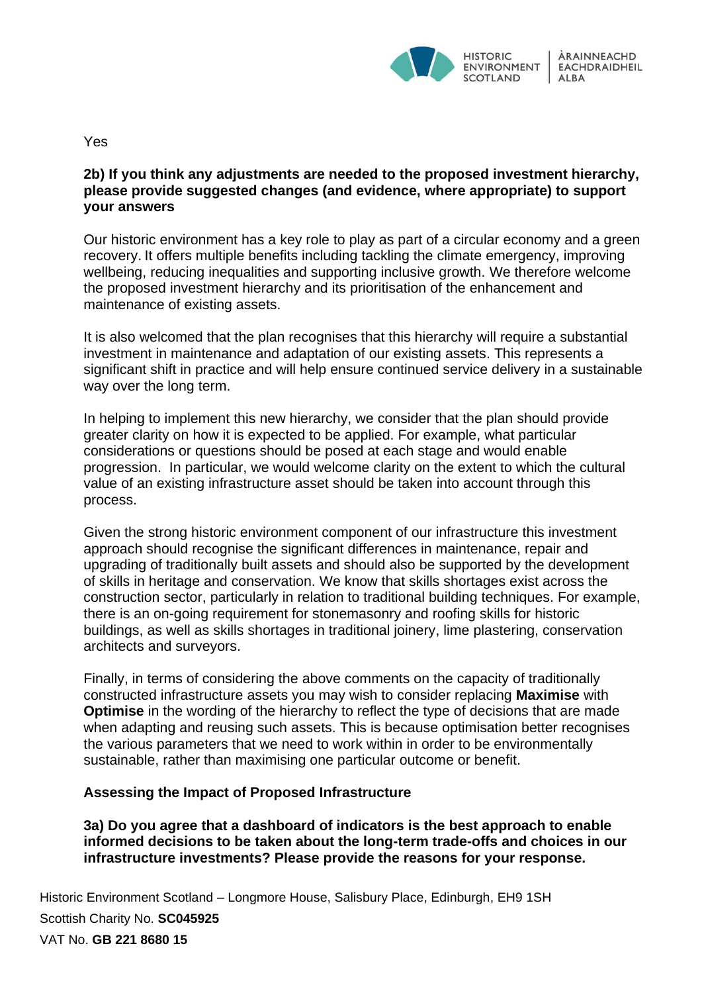

Yes

#### **2b) If you think any adjustments are needed to the proposed investment hierarchy, please provide suggested changes (and evidence, where appropriate) to support your answers**

Our historic environment has a key role to play as part of a circular economy and a green recovery. It offers multiple benefits including tackling the climate emergency, improving wellbeing, reducing inequalities and supporting inclusive growth. We therefore welcome the proposed investment hierarchy and its prioritisation of the enhancement and maintenance of existing assets.

It is also welcomed that the plan recognises that this hierarchy will require a substantial investment in maintenance and adaptation of our existing assets. This represents a significant shift in practice and will help ensure continued service delivery in a sustainable way over the long term.

In helping to implement this new hierarchy, we consider that the plan should provide greater clarity on how it is expected to be applied. For example, what particular considerations or questions should be posed at each stage and would enable progression. In particular, we would welcome clarity on the extent to which the cultural value of an existing infrastructure asset should be taken into account through this process.

Given the strong historic environment component of our infrastructure this investment approach should recognise the significant differences in maintenance, repair and upgrading of traditionally built assets and should also be supported by the development of skills in heritage and conservation. We know that skills shortages exist across the construction sector, particularly in relation to traditional building techniques. For example, there is an on-going requirement for stonemasonry and roofing skills for historic buildings, as well as skills shortages in traditional joinery, lime plastering, conservation architects and surveyors.

Finally, in terms of considering the above comments on the capacity of traditionally constructed infrastructure assets you may wish to consider replacing **Maximise** with **Optimise** in the wording of the hierarchy to reflect the type of decisions that are made when adapting and reusing such assets. This is because optimisation better recognises the various parameters that we need to work within in order to be environmentally sustainable, rather than maximising one particular outcome or benefit.

## **Assessing the Impact of Proposed Infrastructure**

**3a) Do you agree that a dashboard of indicators is the best approach to enable informed decisions to be taken about the long-term trade-offs and choices in our infrastructure investments? Please provide the reasons for your response.**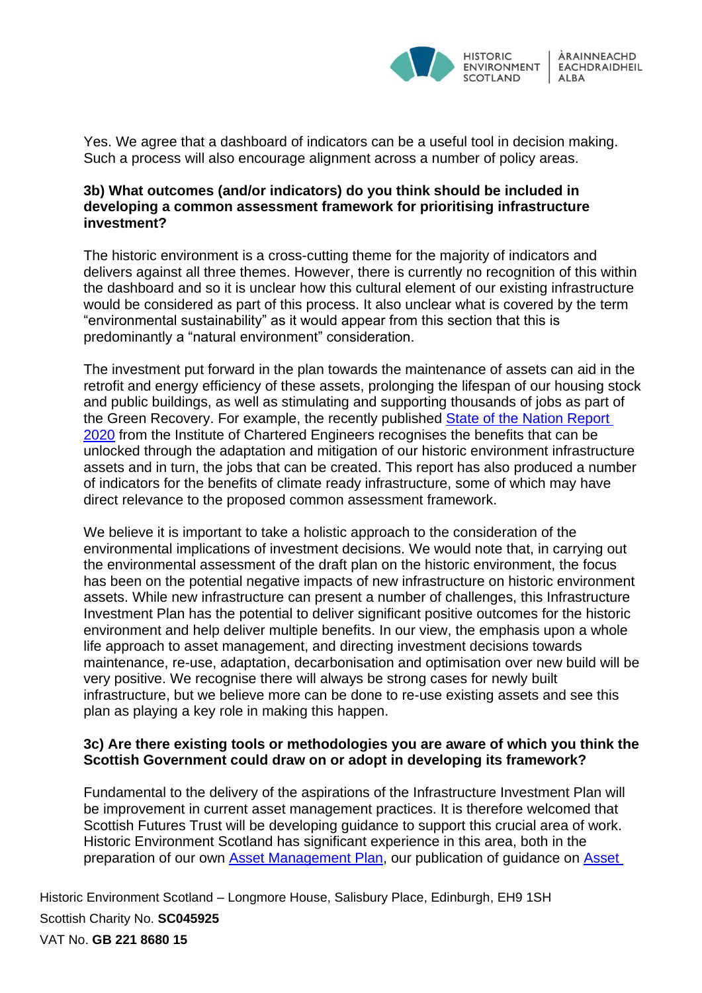

Yes. We agree that a dashboard of indicators can be a useful tool in decision making. Such a process will also encourage alignment across a number of policy areas.

## **3b) What outcomes (and/or indicators) do you think should be included in developing a common assessment framework for prioritising infrastructure investment?**

The historic environment is a cross-cutting theme for the majority of indicators and delivers against all three themes. However, there is currently no recognition of this within the dashboard and so it is unclear how this cultural element of our existing infrastructure would be considered as part of this process. It also unclear what is covered by the term "environmental sustainability" as it would appear from this section that this is predominantly a "natural environment" consideration.

The investment put forward in the plan towards the maintenance of assets can aid in the retrofit and energy efficiency of these assets, prolonging the lifespan of our housing stock and public buildings, as well as stimulating and supporting thousands of jobs as part of the Green Recovery. For example, the recently published [State of the Nation Report](https://www.ice.org.uk/getattachment/about-ice/near-you/uk/scotland/publications/ice-scotland-state-of-the-nation-report-2020/scotland-state-of-the-nation.pdf.aspx)  [2020](https://www.ice.org.uk/getattachment/about-ice/near-you/uk/scotland/publications/ice-scotland-state-of-the-nation-report-2020/scotland-state-of-the-nation.pdf.aspx) from the Institute of Chartered Engineers recognises the benefits that can be unlocked through the adaptation and mitigation of our historic environment infrastructure assets and in turn, the jobs that can be created. This report has also produced a number of indicators for the benefits of climate ready infrastructure, some of which may have direct relevance to the proposed common assessment framework.

We believe it is important to take a holistic approach to the consideration of the environmental implications of investment decisions. We would note that, in carrying out the environmental assessment of the draft plan on the historic environment, the focus has been on the potential negative impacts of new infrastructure on historic environment assets. While new infrastructure can present a number of challenges, this Infrastructure Investment Plan has the potential to deliver significant positive outcomes for the historic environment and help deliver multiple benefits. In our view, the emphasis upon a whole life approach to asset management, and directing investment decisions towards maintenance, re-use, adaptation, decarbonisation and optimisation over new build will be very positive. We recognise there will always be strong cases for newly built infrastructure, but we believe more can be done to re-use existing assets and see this plan as playing a key role in making this happen.

## **3c) Are there existing tools or methodologies you are aware of which you think the Scottish Government could draw on or adopt in developing its framework?**

Fundamental to the delivery of the aspirations of the Infrastructure Investment Plan will be improvement in current asset management practices. It is therefore welcomed that Scottish Futures Trust will be developing guidance to support this crucial area of work. Historic Environment Scotland has significant experience in this area, both in the preparation of our own [Asset Management Plan,](https://www.historicenvironment.scot/archives-and-research/publications/publication/?publicationId=bb46bde1-518e-4590-8fca-a882010e711f) our publication of guidance on Asset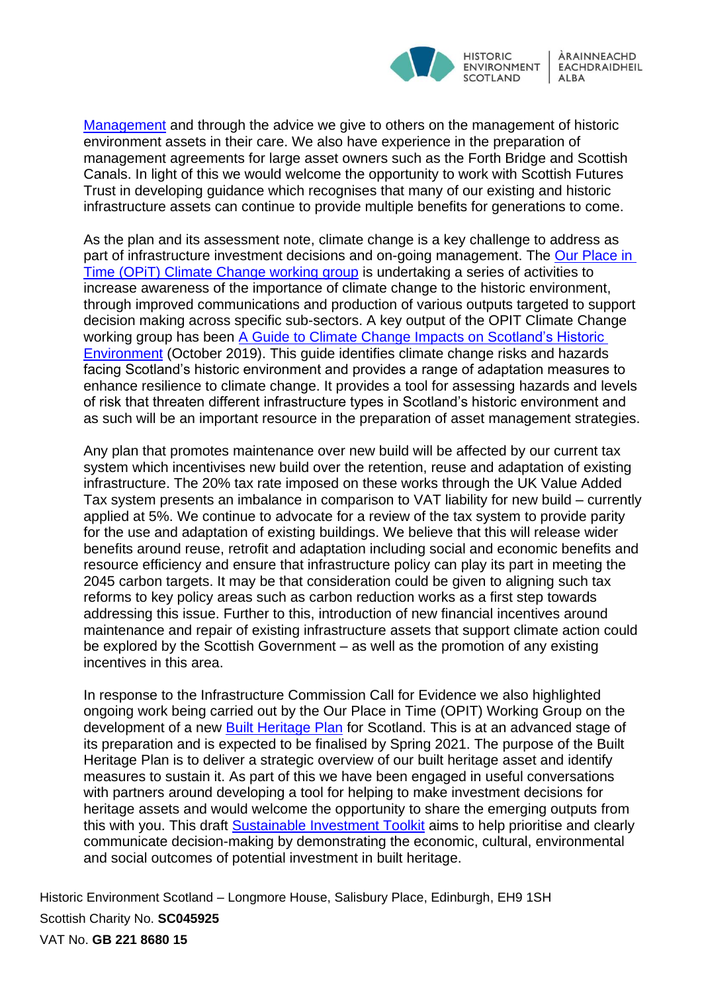

[Management](https://www.historicenvironment.scot/archives-and-research/publications/publication/?publicationId=4b5eb60b-5bfc-414e-af9e-aa24010798b4) and through the advice we give to others on the management of historic environment assets in their care. We also have experience in the preparation of management agreements for large asset owners such as the Forth Bridge and Scottish Canals. In light of this we would welcome the opportunity to work with Scottish Futures Trust in developing guidance which recognises that many of our existing and historic infrastructure assets can continue to provide multiple benefits for generations to come.

As the plan and its assessment note, climate change is a key challenge to address as part of infrastructure investment decisions and on-going management. The [Our Place in](https://www.historicenvironment.scot/about-us/who-we-are/our-place-in-time/#working-groups_tab)  [Time \(OPiT\) Climate Change working group](https://www.historicenvironment.scot/about-us/who-we-are/our-place-in-time/#working-groups_tab) is undertaking a series of activities to increase awareness of the importance of climate change to the historic environment, through improved communications and production of various outputs targeted to support decision making across specific sub-sectors. A key output of the OPIT Climate Change working group has been [A Guide to Climate Change Impacts on Scotland's Historic](https://www.historicenvironment.scot/archives-and-research/publications/publication/?publicationId=843d0c97-d3f4-4510-acd3-aadf0118bf82)  [Environment](https://www.historicenvironment.scot/archives-and-research/publications/publication/?publicationId=843d0c97-d3f4-4510-acd3-aadf0118bf82) (October 2019). This guide identifies climate change risks and hazards facing Scotland's historic environment and provides a range of adaptation measures to enhance resilience to climate change. It provides a tool for assessing hazards and levels of risk that threaten different infrastructure types in Scotland's historic environment and as such will be an important resource in the preparation of asset management strategies.

Any plan that promotes maintenance over new build will be affected by our current tax system which incentivises new build over the retention, reuse and adaptation of existing infrastructure. The 20% tax rate imposed on these works through the UK Value Added Tax system presents an imbalance in comparison to VAT liability for new build – currently applied at 5%. We continue to advocate for a review of the tax system to provide parity for the use and adaptation of existing buildings. We believe that this will release wider benefits around reuse, retrofit and adaptation including social and economic benefits and resource efficiency and ensure that infrastructure policy can play its part in meeting the 2045 carbon targets. It may be that consideration could be given to aligning such tax reforms to key policy areas such as carbon reduction works as a first step towards addressing this issue. Further to this, introduction of new financial incentives around maintenance and repair of existing infrastructure assets that support climate action could be explored by the Scottish Government – as well as the promotion of any existing incentives in this area.

In response to the Infrastructure Commission Call for Evidence we also highlighted ongoing work being carried out by the Our Place in Time (OPIT) Working Group on the development of a new [Built Heritage Plan](https://www.historicenvironment.scot/about-us/who-we-are/our-place-in-time/#working-groups_tab) for Scotland. This is at an advanced stage of its preparation and is expected to be finalised by Spring 2021. The purpose of the Built Heritage Plan is to deliver a strategic overview of our built heritage asset and identify measures to sustain it. As part of this we have been engaged in useful conversations with partners around developing a tool for helping to make investment decisions for heritage assets and would welcome the opportunity to share the emerging outputs from this with you. This draft [Sustainable Investment Toolkit](https://www.befs.org.uk/wp-content/uploads/2020/05/Draft-SIT-Complete-Pack.pdf) aims to help prioritise and clearly communicate decision-making by demonstrating the economic, cultural, environmental and social outcomes of potential investment in built heritage.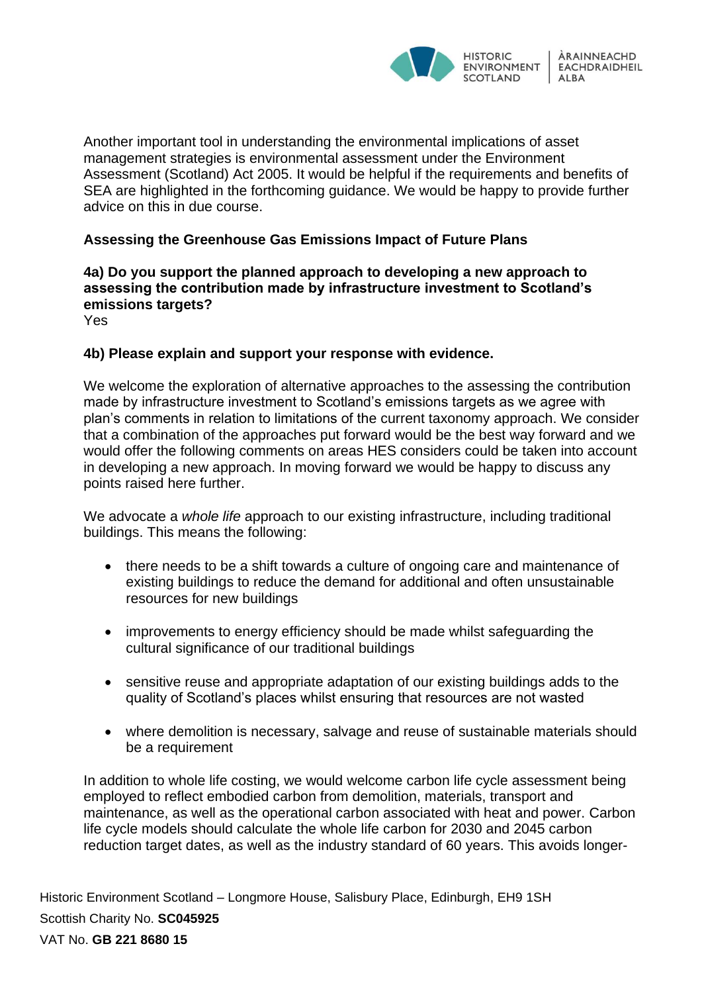

Another important tool in understanding the environmental implications of asset management strategies is environmental assessment under the Environment Assessment (Scotland) Act 2005. It would be helpful if the requirements and benefits of SEA are highlighted in the forthcoming guidance. We would be happy to provide further advice on this in due course.

# **Assessing the Greenhouse Gas Emissions Impact of Future Plans**

# **4a) Do you support the planned approach to developing a new approach to assessing the contribution made by infrastructure investment to Scotland's emissions targets?**

Yes

## **4b) Please explain and support your response with evidence.**

We welcome the exploration of alternative approaches to the assessing the contribution made by infrastructure investment to Scotland's emissions targets as we agree with plan's comments in relation to limitations of the current taxonomy approach. We consider that a combination of the approaches put forward would be the best way forward and we would offer the following comments on areas HES considers could be taken into account in developing a new approach. In moving forward we would be happy to discuss any points raised here further.

We advocate a *whole life* approach to our existing infrastructure, including traditional buildings. This means the following:

- there needs to be a shift towards a culture of ongoing care and maintenance of existing buildings to reduce the demand for additional and often unsustainable resources for new buildings
- improvements to energy efficiency should be made whilst safeguarding the cultural significance of our traditional buildings
- sensitive reuse and appropriate adaptation of our existing buildings adds to the quality of Scotland's places whilst ensuring that resources are not wasted
- where demolition is necessary, salvage and reuse of sustainable materials should be a requirement

In addition to whole life costing, we would welcome carbon life cycle assessment being employed to reflect embodied carbon from demolition, materials, transport and maintenance, as well as the operational carbon associated with heat and power. Carbon life cycle models should calculate the whole life carbon for 2030 and 2045 carbon reduction target dates, as well as the industry standard of 60 years. This avoids longer-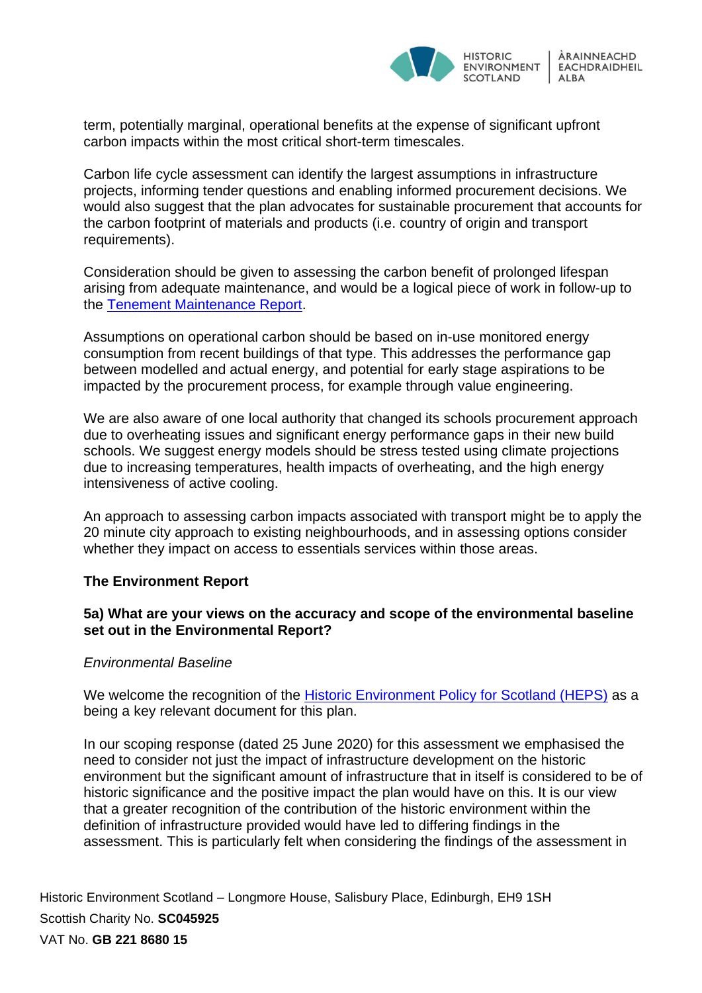

term, potentially marginal, operational benefits at the expense of significant upfront carbon impacts within the most critical short-term timescales.

Carbon life cycle assessment can identify the largest assumptions in infrastructure projects, informing tender questions and enabling informed procurement decisions. We would also suggest that the plan advocates for sustainable procurement that accounts for the carbon footprint of materials and products (i.e. country of origin and transport requirements).

Consideration should be given to assessing the carbon benefit of prolonged lifespan arising from adequate maintenance, and would be a logical piece of work in follow-up to the [Tenement Maintenance Report.](http://www.befs.org.uk/policy-topics/buildings-maintenance-2/)

Assumptions on operational carbon should be based on in-use monitored energy consumption from recent buildings of that type. This addresses the performance gap between modelled and actual energy, and potential for early stage aspirations to be impacted by the procurement process, for example through value engineering.

We are also aware of one local authority that changed its schools procurement approach due to overheating issues and significant energy performance gaps in their new build schools. We suggest energy models should be stress tested using climate projections due to increasing temperatures, health impacts of overheating, and the high energy intensiveness of active cooling.

An approach to assessing carbon impacts associated with transport might be to apply the 20 minute city approach to existing neighbourhoods, and in assessing options consider whether they impact on access to essentials services within those areas.

#### **The Environment Report**

## **5a) What are your views on the accuracy and scope of the environmental baseline set out in the Environmental Report?**

#### *Environmental Baseline*

We welcome the recognition of the [Historic Environment Policy for Scotland \(HEPS\)](https://www.historicenvironment.scot/advice-and-support/planning-and-guidance/historic-environment-policy-for-scotland-heps/) as a being a key relevant document for this plan.

In our scoping response (dated 25 June 2020) for this assessment we emphasised the need to consider not just the impact of infrastructure development on the historic environment but the significant amount of infrastructure that in itself is considered to be of historic significance and the positive impact the plan would have on this. It is our view that a greater recognition of the contribution of the historic environment within the definition of infrastructure provided would have led to differing findings in the assessment. This is particularly felt when considering the findings of the assessment in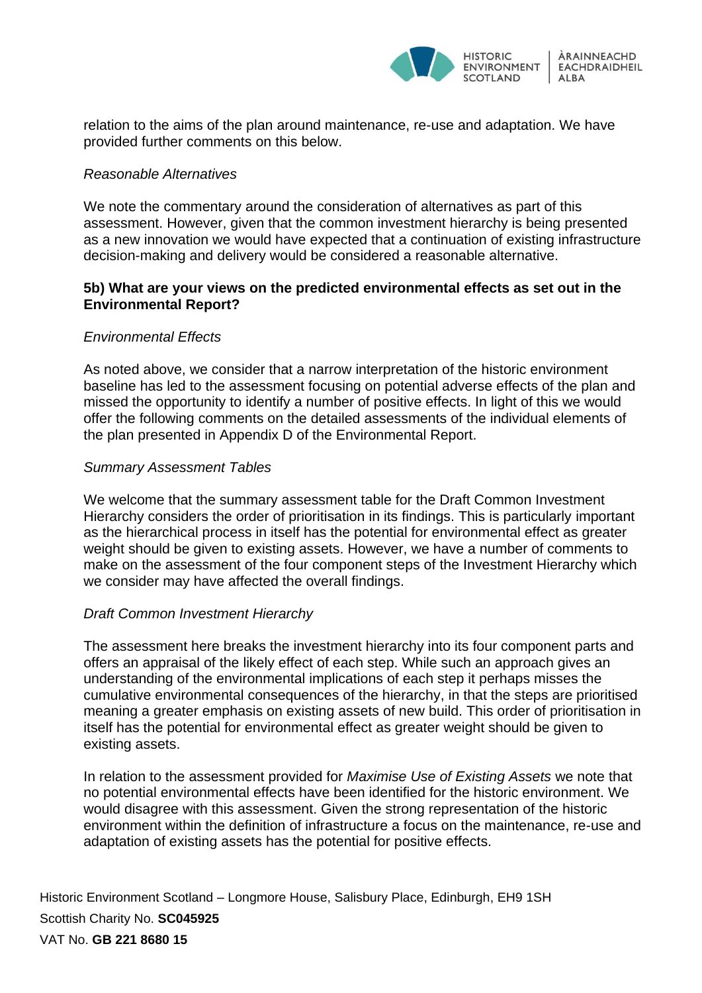

relation to the aims of the plan around maintenance, re-use and adaptation. We have provided further comments on this below.

#### *Reasonable Alternatives*

We note the commentary around the consideration of alternatives as part of this assessment. However, given that the common investment hierarchy is being presented as a new innovation we would have expected that a continuation of existing infrastructure decision-making and delivery would be considered a reasonable alternative.

## **5b) What are your views on the predicted environmental effects as set out in the Environmental Report?**

#### *Environmental Effects*

As noted above, we consider that a narrow interpretation of the historic environment baseline has led to the assessment focusing on potential adverse effects of the plan and missed the opportunity to identify a number of positive effects. In light of this we would offer the following comments on the detailed assessments of the individual elements of the plan presented in Appendix D of the Environmental Report.

#### *Summary Assessment Tables*

We welcome that the summary assessment table for the Draft Common Investment Hierarchy considers the order of prioritisation in its findings. This is particularly important as the hierarchical process in itself has the potential for environmental effect as greater weight should be given to existing assets. However, we have a number of comments to make on the assessment of the four component steps of the Investment Hierarchy which we consider may have affected the overall findings.

## *Draft Common Investment Hierarchy*

The assessment here breaks the investment hierarchy into its four component parts and offers an appraisal of the likely effect of each step. While such an approach gives an understanding of the environmental implications of each step it perhaps misses the cumulative environmental consequences of the hierarchy, in that the steps are prioritised meaning a greater emphasis on existing assets of new build. This order of prioritisation in itself has the potential for environmental effect as greater weight should be given to existing assets.

In relation to the assessment provided for *Maximise Use of Existing Assets* we note that no potential environmental effects have been identified for the historic environment. We would disagree with this assessment. Given the strong representation of the historic environment within the definition of infrastructure a focus on the maintenance, re-use and adaptation of existing assets has the potential for positive effects.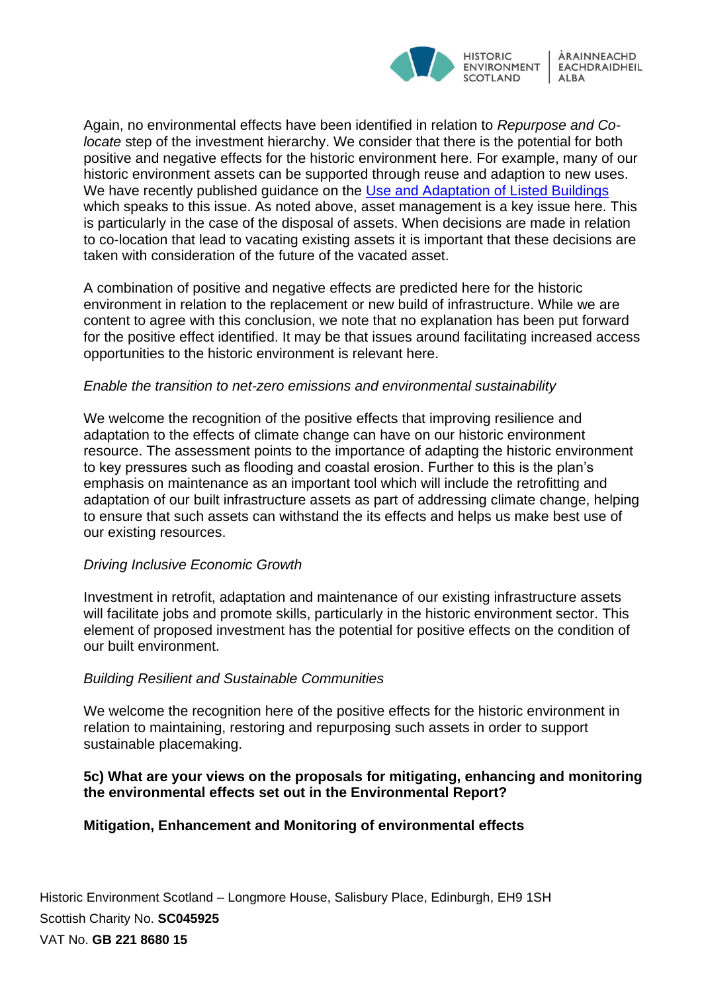

Again, no environmental effects have been identified in relation to *Repurpose and Colocate* step of the investment hierarchy. We consider that there is the potential for both positive and negative effects for the historic environment here. For example, many of our historic environment assets can be supported through reuse and adaption to new uses. We have recently published guidance on the [Use and Adaptation of Listed Buildings](https://www.historicenvironment.scot/archives-and-research/publications/publication/?publicationId=8ab1f9c9-521a-435e-a3f2-aa240119b5e1) which speaks to this issue. As noted above, asset management is a key issue here. This is particularly in the case of the disposal of assets. When decisions are made in relation to co-location that lead to vacating existing assets it is important that these decisions are taken with consideration of the future of the vacated asset.

A combination of positive and negative effects are predicted here for the historic environment in relation to the replacement or new build of infrastructure. While we are content to agree with this conclusion, we note that no explanation has been put forward for the positive effect identified. It may be that issues around facilitating increased access opportunities to the historic environment is relevant here.

#### *Enable the transition to net-zero emissions and environmental sustainability*

We welcome the recognition of the positive effects that improving resilience and adaptation to the effects of climate change can have on our historic environment resource. The assessment points to the importance of adapting the historic environment to key pressures such as flooding and coastal erosion. Further to this is the plan's emphasis on maintenance as an important tool which will include the retrofitting and adaptation of our built infrastructure assets as part of addressing climate change, helping to ensure that such assets can withstand the its effects and helps us make best use of our existing resources.

## *Driving Inclusive Economic Growth*

Investment in retrofit, adaptation and maintenance of our existing infrastructure assets will facilitate jobs and promote skills, particularly in the historic environment sector. This element of proposed investment has the potential for positive effects on the condition of our built environment.

## *Building Resilient and Sustainable Communities*

We welcome the recognition here of the positive effects for the historic environment in relation to maintaining, restoring and repurposing such assets in order to support sustainable placemaking.

## **5c) What are your views on the proposals for mitigating, enhancing and monitoring the environmental effects set out in the Environmental Report?**

## **Mitigation, Enhancement and Monitoring of environmental effects**